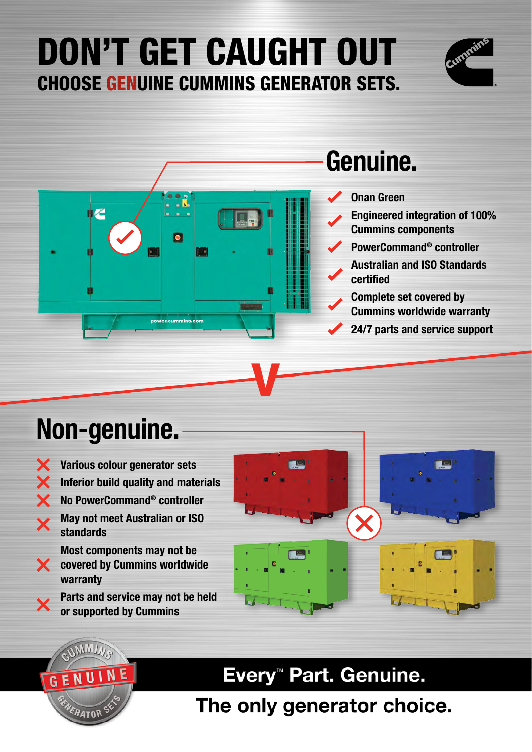## DON'T GET CAUGHT OUT CHOOSE GENUINE CUMMINS GENERATOR SETS.





## Non-genuine.

Various colour generator sets × Inferior build quality and materials  $\overline{\textbf{x}}$ No PowerCommand® controller May not meet Australian or ISO  $\overline{\mathbf{Y}}$ standards Most components may not be **X** covered by Cummins worldwide warranty

> Parts and service may not be held or supported by Cummins

**GEN** 



Every<sup>™</sup> Part. Genuine.

The only generator choice.